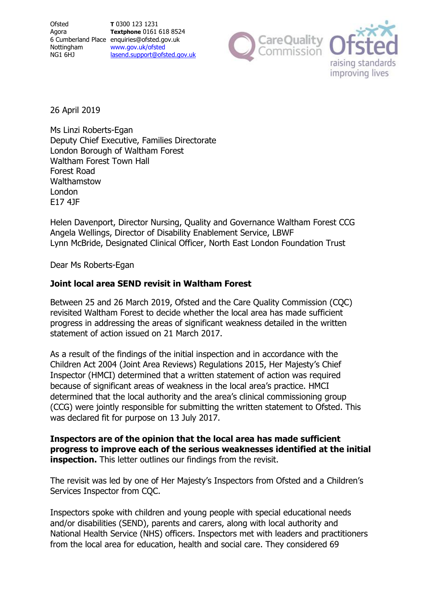

26 April 2019

Ms Linzi Roberts-Egan Deputy Chief Executive, Families Directorate London Borough of Waltham Forest Waltham Forest Town Hall Forest Road Walthamstow London E17 4JF

Helen Davenport, Director Nursing, Quality and Governance Waltham Forest CCG Angela Wellings, Director of Disability Enablement Service, LBWF Lynn McBride, Designated Clinical Officer, North East London Foundation Trust

Dear Ms Roberts-Egan

# **Joint local area SEND revisit in Waltham Forest**

Between 25 and 26 March 2019, Ofsted and the Care Quality Commission (CQC) revisited Waltham Forest to decide whether the local area has made sufficient progress in addressing the areas of significant weakness detailed in the written statement of action issued on 21 March 2017.

As a result of the findings of the initial inspection and in accordance with the Children Act 2004 (Joint Area Reviews) Regulations 2015, Her Majesty's Chief Inspector (HMCI) determined that a written statement of action was required because of significant areas of weakness in the local area's practice. HMCI determined that the local authority and the area's clinical commissioning group (CCG) were jointly responsible for submitting the written statement to Ofsted. This was declared fit for purpose on 13 July 2017.

**Inspectors are of the opinion that the local area has made sufficient progress to improve each of the serious weaknesses identified at the initial inspection.** This letter outlines our findings from the revisit.

The revisit was led by one of Her Majesty's Inspectors from Ofsted and a Children's Services Inspector from CQC.

Inspectors spoke with children and young people with special educational needs and/or disabilities (SEND), parents and carers, along with local authority and National Health Service (NHS) officers. Inspectors met with leaders and practitioners from the local area for education, health and social care. They considered 69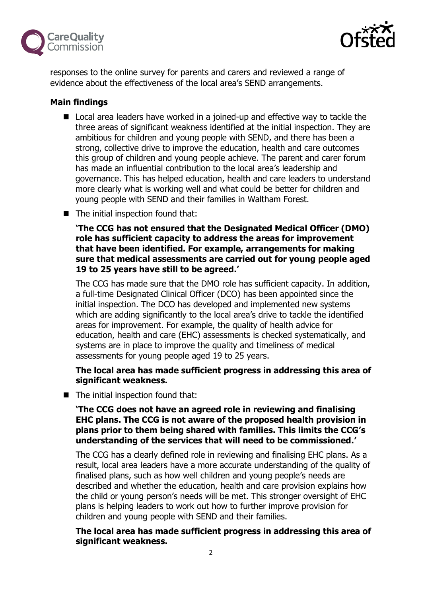



responses to the online survey for parents and carers and reviewed a range of evidence about the effectiveness of the local area's SEND arrangements.

# **Main findings**

- Local area leaders have worked in a joined-up and effective way to tackle the three areas of significant weakness identified at the initial inspection. They are ambitious for children and young people with SEND, and there has been a strong, collective drive to improve the education, health and care outcomes this group of children and young people achieve. The parent and carer forum has made an influential contribution to the local area's leadership and governance. This has helped education, health and care leaders to understand more clearly what is working well and what could be better for children and young people with SEND and their families in Waltham Forest.
- The initial inspection found that:

**'The CCG has not ensured that the Designated Medical Officer (DMO) role has sufficient capacity to address the areas for improvement that have been identified. For example, arrangements for making sure that medical assessments are carried out for young people aged 19 to 25 years have still to be agreed.'**

The CCG has made sure that the DMO role has sufficient capacity. In addition, a full-time Designated Clinical Officer (DCO) has been appointed since the initial inspection. The DCO has developed and implemented new systems which are adding significantly to the local area's drive to tackle the identified areas for improvement. For example, the quality of health advice for education, health and care (EHC) assessments is checked systematically, and systems are in place to improve the quality and timeliness of medical assessments for young people aged 19 to 25 years.

# **The local area has made sufficient progress in addressing this area of significant weakness.**

■ The initial inspection found that:

## **'The CCG does not have an agreed role in reviewing and finalising EHC plans. The CCG is not aware of the proposed health provision in plans prior to them being shared with families. This limits the CCG's understanding of the services that will need to be commissioned.'**

The CCG has a clearly defined role in reviewing and finalising EHC plans. As a result, local area leaders have a more accurate understanding of the quality of finalised plans, such as how well children and young people's needs are described and whether the education, health and care provision explains how the child or young person's needs will be met. This stronger oversight of EHC plans is helping leaders to work out how to further improve provision for children and young people with SEND and their families.

**The local area has made sufficient progress in addressing this area of significant weakness.**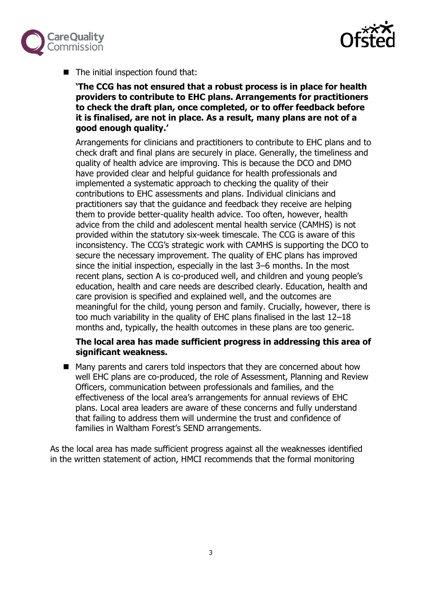



■ The initial inspection found that:

**'The CCG has not ensured that a robust process is in place for health providers to contribute to EHC plans. Arrangements for practitioners to check the draft plan, once completed, or to offer feedback before it is finalised, are not in place. As a result, many plans are not of a good enough quality.'**

Arrangements for clinicians and practitioners to contribute to EHC plans and to check draft and final plans are securely in place. Generally, the timeliness and quality of health advice are improving. This is because the DCO and DMO have provided clear and helpful guidance for health professionals and implemented a systematic approach to checking the quality of their contributions to EHC assessments and plans. Individual clinicians and practitioners say that the guidance and feedback they receive are helping them to provide better-quality health advice. Too often, however, health advice from the child and adolescent mental health service (CAMHS) is not provided within the statutory six-week timescale. The CCG is aware of this inconsistency. The CCG's strategic work with CAMHS is supporting the DCO to secure the necessary improvement. The quality of EHC plans has improved since the initial inspection, especially in the last 3–6 months. In the most recent plans, section A is co-produced well, and children and young people's education, health and care needs are described clearly. Education, health and care provision is specified and explained well, and the outcomes are meaningful for the child, young person and family. Crucially, however, there is too much variability in the quality of EHC plans finalised in the last 12–18 months and, typically, the health outcomes in these plans are too generic.

### **The local area has made sufficient progress in addressing this area of significant weakness.**

■ Many parents and carers told inspectors that they are concerned about how well EHC plans are co-produced, the role of Assessment, Planning and Review Officers, communication between professionals and families, and the effectiveness of the local area's arrangements for annual reviews of EHC plans. Local area leaders are aware of these concerns and fully understand that failing to address them will undermine the trust and confidence of families in Waltham Forest's SEND arrangements.

As the local area has made sufficient progress against all the weaknesses identified in the written statement of action, HMCI recommends that the formal monitoring